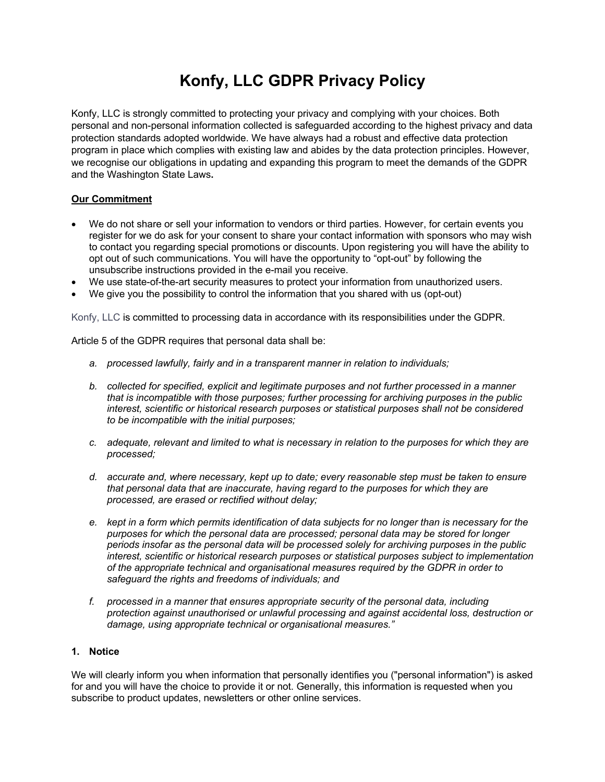# **Konfy, LLC GDPR Privacy Policy**

Konfy, LLC is strongly committed to protecting your privacy and complying with your choices. Both personal and non-personal information collected is safeguarded according to the highest privacy and data protection standards adopted worldwide. We have always had a robust and effective data protection program in place which complies with existing law and abides by the data protection principles. However, we recognise our obligations in updating and expanding this program to meet the demands of the GDPR and the Washington State Laws**.**

## **Our Commitment**

- We do not share or sell your information to vendors or third parties. However, for certain events you register for we do ask for your consent to share your contact information with sponsors who may wish to contact you regarding special promotions or discounts. Upon registering you will have the ability to opt out of such communications. You will have the opportunity to "opt-out" by following the unsubscribe instructions provided in the e-mail you receive.
- We use state-of-the-art security measures to protect your information from unauthorized users.
- We give you the possibility to control the information that you shared with us (opt-out)

Konfy, LLC is committed to processing data in accordance with its responsibilities under the GDPR.

Article 5 of the GDPR requires that personal data shall be:

- *a. processed lawfully, fairly and in a transparent manner in relation to individuals;*
- *b. collected for specified, explicit and legitimate purposes and not further processed in a manner that is incompatible with those purposes; further processing for archiving purposes in the public interest, scientific or historical research purposes or statistical purposes shall not be considered to be incompatible with the initial purposes;*
- *c. adequate, relevant and limited to what is necessary in relation to the purposes for which they are processed;*
- *d. accurate and, where necessary, kept up to date; every reasonable step must be taken to ensure that personal data that are inaccurate, having regard to the purposes for which they are processed, are erased or rectified without delay;*
- *e. kept in a form which permits identification of data subjects for no longer than is necessary for the purposes for which the personal data are processed; personal data may be stored for longer periods insofar as the personal data will be processed solely for archiving purposes in the public interest, scientific or historical research purposes or statistical purposes subject to implementation of the appropriate technical and organisational measures required by the GDPR in order to safeguard the rights and freedoms of individuals; and*
- *f. processed in a manner that ensures appropriate security of the personal data, including protection against unauthorised or unlawful processing and against accidental loss, destruction or damage, using appropriate technical or organisational measures."*

# **1. Notice**

We will clearly inform you when information that personally identifies you ("personal information") is asked for and you will have the choice to provide it or not. Generally, this information is requested when you subscribe to product updates, newsletters or other online services.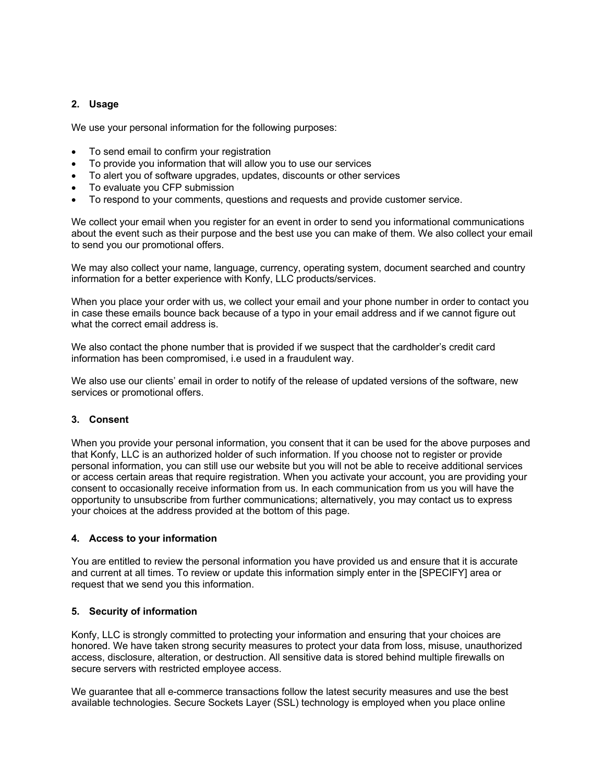## **2. Usage**

We use your personal information for the following purposes:

- To send email to confirm your registration
- To provide you information that will allow you to use our services
- To alert you of software upgrades, updates, discounts or other services
- To evaluate you CFP submission
- To respond to your comments, questions and requests and provide customer service.

We collect your email when you register for an event in order to send you informational communications about the event such as their purpose and the best use you can make of them. We also collect your email to send you our promotional offers.

We may also collect your name, language, currency, operating system, document searched and country information for a better experience with Konfy, LLC products/services.

When you place your order with us, we collect your email and your phone number in order to contact you in case these emails bounce back because of a typo in your email address and if we cannot figure out what the correct email address is.

We also contact the phone number that is provided if we suspect that the cardholder's credit card information has been compromised, i.e used in a fraudulent way.

We also use our clients' email in order to notify of the release of updated versions of the software, new services or promotional offers.

## **3. Consent**

When you provide your personal information, you consent that it can be used for the above purposes and that Konfy, LLC is an authorized holder of such information. If you choose not to register or provide personal information, you can still use our website but you will not be able to receive additional services or access certain areas that require registration. When you activate your account, you are providing your consent to occasionally receive information from us. In each communication from us you will have the opportunity to unsubscribe from further communications; alternatively, you may contact us to express your choices at the address provided at the bottom of this page.

## **4. Access to your information**

You are entitled to review the personal information you have provided us and ensure that it is accurate and current at all times. To review or update this information simply enter in the [SPECIFY] area or request that we send you this information.

## **5. Security of information**

Konfy, LLC is strongly committed to protecting your information and ensuring that your choices are honored. We have taken strong security measures to protect your data from loss, misuse, unauthorized access, disclosure, alteration, or destruction. All sensitive data is stored behind multiple firewalls on secure servers with restricted employee access.

We guarantee that all e-commerce transactions follow the latest security measures and use the best available technologies. Secure Sockets Layer (SSL) technology is employed when you place online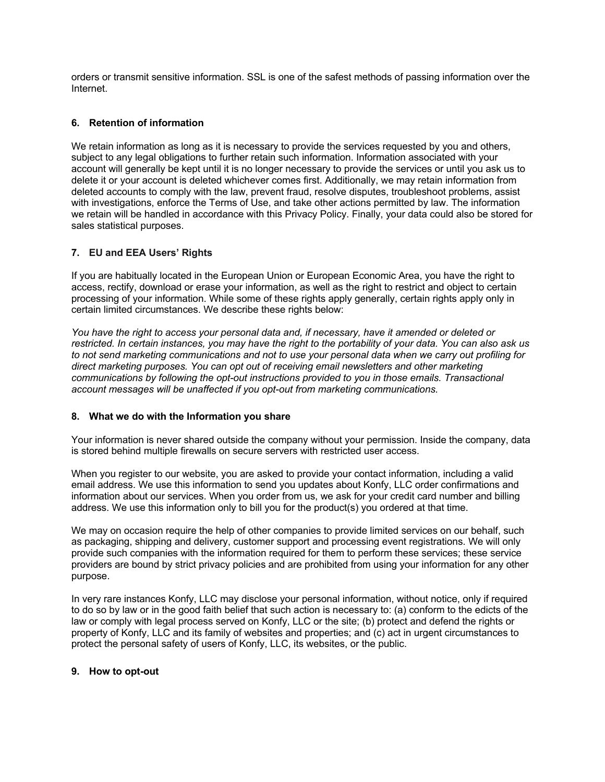orders or transmit sensitive information. SSL is one of the safest methods of passing information over the Internet.

## **6. Retention of information**

We retain information as long as it is necessary to provide the services requested by you and others, subject to any legal obligations to further retain such information. Information associated with your account will generally be kept until it is no longer necessary to provide the services or until you ask us to delete it or your account is deleted whichever comes first. Additionally, we may retain information from deleted accounts to comply with the law, prevent fraud, resolve disputes, troubleshoot problems, assist with investigations, enforce the Terms of Use, and take other actions permitted by law. The information we retain will be handled in accordance with this Privacy Policy. Finally, your data could also be stored for sales statistical purposes.

## **7. EU and EEA Users' Rights**

If you are habitually located in the European Union or European Economic Area, you have the right to access, rectify, download or erase your information, as well as the right to restrict and object to certain processing of your information. While some of these rights apply generally, certain rights apply only in certain limited circumstances. We describe these rights below:

*You have the right to access your personal data and, if necessary, have it amended or deleted or restricted. In certain instances, you may have the right to the portability of your data. You can also ask us to not send marketing communications and not to use your personal data when we carry out profiling for direct marketing purposes. You can opt out of receiving email newsletters and other marketing communications by following the opt-out instructions provided to you in those emails. Transactional account messages will be unaffected if you opt-out from marketing communications.*

## **8. What we do with the Information you share**

Your information is never shared outside the company without your permission. Inside the company, data is stored behind multiple firewalls on secure servers with restricted user access.

When you register to our website, you are asked to provide your contact information, including a valid email address. We use this information to send you updates about Konfy, LLC order confirmations and information about our services. When you order from us, we ask for your credit card number and billing address. We use this information only to bill you for the product(s) you ordered at that time.

We may on occasion require the help of other companies to provide limited services on our behalf, such as packaging, shipping and delivery, customer support and processing event registrations. We will only provide such companies with the information required for them to perform these services; these service providers are bound by strict privacy policies and are prohibited from using your information for any other purpose.

In very rare instances Konfy, LLC may disclose your personal information, without notice, only if required to do so by law or in the good faith belief that such action is necessary to: (a) conform to the edicts of the law or comply with legal process served on Konfy, LLC or the site; (b) protect and defend the rights or property of Konfy, LLC and its family of websites and properties; and (c) act in urgent circumstances to protect the personal safety of users of Konfy, LLC, its websites, or the public.

## **9. How to opt-out**